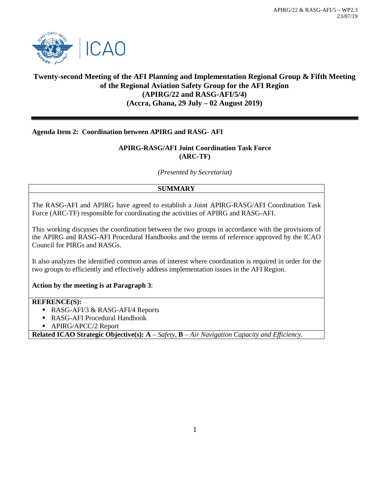

# **Twenty-second Meeting of the AFI Planning and Implementation Regional Group & Fifth Meeting of the Regional Aviation Safety Group for the AFI Region (APIRG/22 and RASG-AFI/5/4) (Accra, Ghana, 29 July – 02 August 2019)**

### **Agenda Item 2: Coordination between APIRG and RASG- AFI**

## **APIRG-RASG/AFI Joint Coordination Task Force (ARC-TF)**

*(Presented by Secretariat)*

### **SUMMARY**

The RASG-AFI and APIRG have agreed to establish a Joint APIRG-RASG/AFI Coordination Task Force (ARC-TF) responsible for coordinating the activities of APIRG and RASG-AFI.

This working discusses the coordination between the two groups in accordance with the provisions of the APIRG and RASG-AFI Procedural Handbooks and the terms of reference approved by the ICAO Council for PIRGs and RASGs.

It also analyzes the identified common areas of interest where coordination is required in order for the two groups to efficiently and effectively address implementation issues in the AFI Region.

**Action by the meeting is at Paragraph 3**:

### **REFRENCE(S):**

- RASG-AFI/3 & RASG-AFI/4 Reports
- RASG-AFI Procedural Handbook
- **APIRG/APCC/2 Report**

**Related ICAO Strategic Objective(s): A** – *Safety,* **B** – *Air Navigation Capacity and Efficiency.*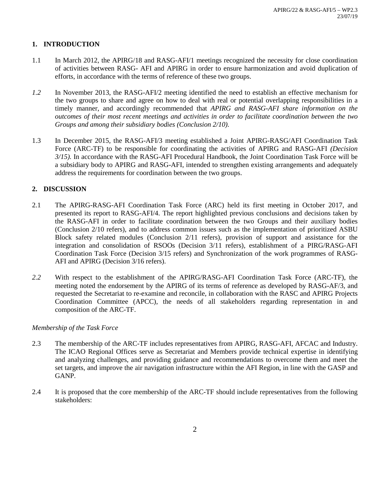## **1. INTRODUCTION**

- 1.1 In March 2012, the APIRG/18 and RASG-AFI/1 meetings recognized the necessity for close coordination of activities between RASG- AFI and APIRG in order to ensure harmonization and avoid duplication of efforts, in accordance with the terms of reference of these two groups.
- *1.2* In November 2013, the RASG-AFI/2 meeting identified the need to establish an effective mechanism for the two groups to share and agree on how to deal with real or potential overlapping responsibilities in a timely manner, and accordingly recommended that *APIRG and RASG-AFI share information on the outcomes of their most recent meetings and activities in order to facilitate coordination between the two Groups and among their subsidiary bodies (Conclusion 2/10).*
- 1.3 In December 2015, the RASG-AFI/3 meeting established a Joint APIRG-RASG/AFI Coordination Task Force (ARC-TF) to be responsible for coordinating the activities of APIRG and RASG-AFI *(Decision 3/15).* In accordance with the RASG-AFI Procedural Handbook, the Joint Coordination Task Force will be a subsidiary body to APIRG and RASG-AFI, intended to strengthen existing arrangements and adequately address the requirements for coordination between the two groups.

## **2. DISCUSSION**

- 2.1 The APIRG-RASG-AFI Coordination Task Force (ARC) held its first meeting in October 2017, and presented its report to RASG-AFI/4. The report highlighted previous conclusions and decisions taken by the RASG-AFI in order to facilitate coordination between the two Groups and their auxiliary bodies (Conclusion 2/10 refers), and to address common issues such as the implementation of prioritized ASBU Block safety related modules (Conclusion 2/11 refers), provision of support and assistance for the integration and consolidation of RSOOs (Decision 3/11 refers), establishment of a PIRG/RASG-AFI Coordination Task Force (Decision 3/15 refers) and Synchronization of the work programmes of RASG-AFI and APIRG (Decision 3/16 refers).
- *2.2* With respect to the establishment of the APIRG/RASG-AFI Coordination Task Force (ARC-TF), the meeting noted the endorsement by the APIRG of its terms of reference as developed by RASG-AF/3, and requested the Secretariat to re-examine and reconcile, in collaboration with the RASC and APIRG Projects Coordination Committee (APCC), the needs of all stakeholders regarding representation in and composition of the ARC-TF.

## *Membership of the Task Force*

- 2.3 The membership of the ARC-TF includes representatives from APIRG, RASG-AFI, AFCAC and Industry. The ICAO Regional Offices serve as Secretariat and Members provide technical expertise in identifying and analyzing challenges, and providing guidance and recommendations to overcome them and meet the set targets, and improve the air navigation infrastructure within the AFI Region, in line with the GASP and GANP.
- 2.4 It is proposed that the core membership of the ARC-TF should include representatives from the following stakeholders: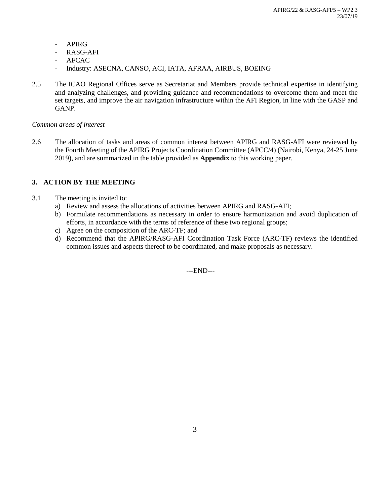- APIRG
- RASG-AFI
- **AFCAC**
- Industry: ASECNA, CANSO, ACI, IATA, AFRAA, AIRBUS, BOEING
- 2.5 The ICAO Regional Offices serve as Secretariat and Members provide technical expertise in identifying and analyzing challenges, and providing guidance and recommendations to overcome them and meet the set targets, and improve the air navigation infrastructure within the AFI Region, in line with the GASP and GANP.

#### *Common areas of interest*

2.6 The allocation of tasks and areas of common interest between APIRG and RASG-AFI were reviewed by the Fourth Meeting of the APIRG Projects Coordination Committee (APCC/4) (Nairobi, Kenya, 24-25 June 2019), and are summarized in the table provided as **Appendix** to this working paper.

### **3. ACTION BY THE MEETING**

- 3.1 The meeting is invited to:
	- a) Review and assess the allocations of activities between APIRG and RASG-AFI;
	- b) Formulate recommendations as necessary in order to ensure harmonization and avoid duplication of efforts, in accordance with the terms of reference of these two regional groups;
	- c) Agree on the composition of the ARC-TF; and
	- d) Recommend that the APIRG/RASG-AFI Coordination Task Force (ARC-TF) reviews the identified common issues and aspects thereof to be coordinated, and make proposals as necessary.

---END---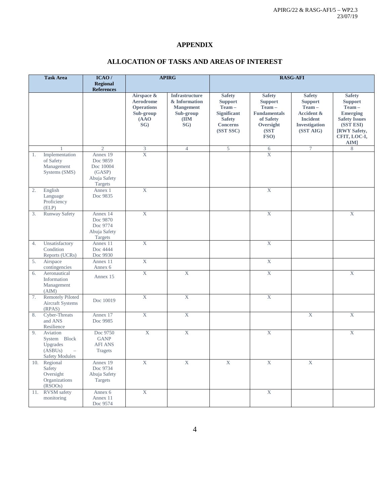## **APPENDIX**

|     | <b>Task Area</b>                                                         | ICAO/<br><b>Regional</b><br><b>References</b>                          | <b>APIRG</b>                                                                     |                                                                                        | <b>RASG-AFI</b>                                                                                                 |                                                                                                           |                                                                                                                           |                                                                                                                                          |
|-----|--------------------------------------------------------------------------|------------------------------------------------------------------------|----------------------------------------------------------------------------------|----------------------------------------------------------------------------------------|-----------------------------------------------------------------------------------------------------------------|-----------------------------------------------------------------------------------------------------------|---------------------------------------------------------------------------------------------------------------------------|------------------------------------------------------------------------------------------------------------------------------------------|
|     |                                                                          |                                                                        | Airspace &<br><b>Aerodrome</b><br><b>Operations</b><br>Sub-group<br>(AAO)<br>SG) | <b>Infrastructure</b><br>& Information<br><b>Mangement</b><br>Sub-group<br>(IIM<br>SG) | <b>Safety</b><br><b>Support</b><br>Team-<br><b>Significant</b><br><b>Safety</b><br><b>Concerns</b><br>(SST SSC) | <b>Safety</b><br><b>Support</b><br>Team-<br><b>Fundamentals</b><br>of Safety<br>Oversight<br>(SST<br>FSO) | <b>Safety</b><br><b>Support</b><br>Team-<br><b>Accident &amp;</b><br><b>Incident</b><br><b>Investigation</b><br>(SST AIG) | <b>Safety</b><br><b>Support</b><br>Team-<br><b>Emerging</b><br><b>Safety Issues</b><br>(SST ESI)<br>[RWY Safety,<br>CFIT, LOC-I,<br>AIM] |
|     |                                                                          | $\overline{2}$                                                         | 3                                                                                | $\overline{4}$                                                                         | 5                                                                                                               | 6                                                                                                         | $\tau$                                                                                                                    | 8                                                                                                                                        |
| 1.  | Implementation<br>of Safety<br>Management<br>Systems (SMS)               | Annex 19<br>Doc 9859<br>Doc 10004<br>(GASP)<br>Abuja Safety<br>Targets | $\bold{X}$                                                                       |                                                                                        |                                                                                                                 | $\overline{X}$                                                                                            |                                                                                                                           |                                                                                                                                          |
| 2.  | English<br>Language<br>Proficiency<br>(ELP)                              | Annex 1<br>Doc 9835                                                    | $\overline{X}$                                                                   |                                                                                        |                                                                                                                 | $\overline{\text{X}}$                                                                                     |                                                                                                                           |                                                                                                                                          |
| 3.  | <b>Runway Safety</b>                                                     | Annex 14<br>Doc 9870<br>Doc 9774<br>Abuja Safety<br>Targets            | $\overline{X}$                                                                   |                                                                                        |                                                                                                                 | $\overline{X}$                                                                                            |                                                                                                                           | $\overline{X}$                                                                                                                           |
| 4.  | Unsatisfactory<br>Condition<br>Reports (UCRs)                            | Annex 11<br>Doc 4444<br>Doc 9930                                       | $\overline{X}$                                                                   |                                                                                        |                                                                                                                 | $\mathbf X$                                                                                               |                                                                                                                           |                                                                                                                                          |
| 5.  | Airspace<br>contingencies                                                | Annex 11<br>Annex 6                                                    | $\overline{X}$                                                                   |                                                                                        |                                                                                                                 | $\overline{\text{X}}$                                                                                     |                                                                                                                           |                                                                                                                                          |
| 6.  | Aeronautical<br>Information<br>Management<br>(AIM)                       | Annex 15                                                               | $\overline{X}$                                                                   | $\overline{X}$                                                                         |                                                                                                                 | $\overline{\text{X}}$                                                                                     |                                                                                                                           | $\mathbf X$                                                                                                                              |
| 7.  | <b>Remotely Piloted</b><br>Aircraft Systems<br>(RPAS)                    | Doc 10019                                                              | $\overline{X}$                                                                   | X                                                                                      |                                                                                                                 | $\overline{X}$                                                                                            |                                                                                                                           |                                                                                                                                          |
| 8.  | Cyber-Threats<br>and ANS<br>Resilience                                   | Annex 17<br>Doc 9985                                                   | $\boldsymbol{\mathrm{X}}$                                                        | $\boldsymbol{\mathrm{X}}$                                                              |                                                                                                                 |                                                                                                           | $\bold{X}$                                                                                                                | X                                                                                                                                        |
| 9.  | Aviation<br>System Block<br>Upgrades<br>(ASBUs)<br><b>Safety Modules</b> | Doc 9750<br><b>GANP</b><br><b>AFI ANS</b><br>Tragets                   | $\mathbf X$                                                                      | $\mathbf X$                                                                            |                                                                                                                 | $\mathbf X$                                                                                               |                                                                                                                           | $\mathbf X$                                                                                                                              |
|     | 10. Regional<br>Safety<br>Oversight<br>Organizations<br>(RSOOs)          | Annex 19<br>Doc 9734<br>Abuja Safety<br>Targets                        | $\mathbf X$                                                                      | $\bold{X}$                                                                             | $\mathbf X$                                                                                                     | $\mathbf X$                                                                                               | $\mathbf X$                                                                                                               |                                                                                                                                          |
| 11. | <b>RVSM</b> safety<br>monitoring                                         | Annex 6<br>Annex 11<br>Doc 9574                                        | $\mathbf X$                                                                      |                                                                                        |                                                                                                                 | $\bold{X}$                                                                                                |                                                                                                                           |                                                                                                                                          |